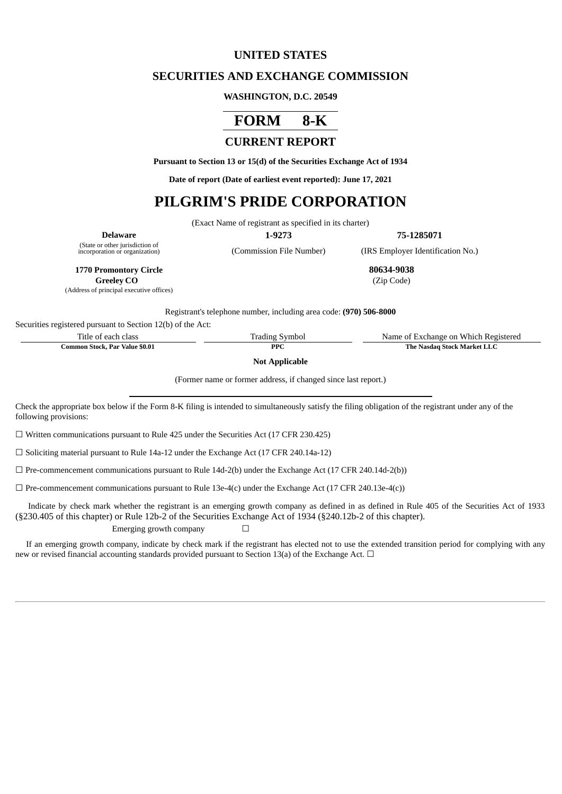## **UNITED STATES**

## **SECURITIES AND EXCHANGE COMMISSION**

### **WASHINGTON, D.C. 20549**



# **CURRENT REPORT**

**Pursuant to Section 13 or 15(d) of the Securities Exchange Act of 1934**

**Date of report (Date of earliest event reported): June 17, 2021**

# **PILGRIM'S PRIDE CORPORATION**

(Exact Name of registrant as specified in its charter)

**Delaware 1-9273 75-1285071**

(State or other jurisdiction of

(Commission File Number) (IRS Employer Identification No.)

**1770 Promontory Circle 80634-9038**

**Greeley CO** (Zip Code)

(Address of principal executive offices)

Registrant's telephone number, including area code: **(970) 506-8000**

Securities registered pursuant to Section 12(b) of the Act:

Title of each class Trading Symbol Name of Exchange on Which Registered

**Common Stock, Par Value \$0.01 PPC PPC The Nasdaq Stock Market LLC** 

**Not Applicable**

(Former name or former address, if changed since last report.)

Check the appropriate box below if the Form 8-K filing is intended to simultaneously satisfy the filing obligation of the registrant under any of the following provisions:

☐ Written communications pursuant to Rule 425 under the Securities Act (17 CFR 230.425)

☐ Soliciting material pursuant to Rule 14a-12 under the Exchange Act (17 CFR 240.14a-12)

 $\Box$  Pre-commencement communications pursuant to Rule 14d-2(b) under the Exchange Act (17 CFR 240.14d-2(b))

 $\Box$  Pre-commencement communications pursuant to Rule 13e-4(c) under the Exchange Act (17 CFR 240.13e-4(c))

Indicate by check mark whether the registrant is an emerging growth company as defined in as defined in Rule 405 of the Securities Act of 1933 (§230.405 of this chapter) or Rule 12b-2 of the Securities Exchange Act of 1934 (§240.12b-2 of this chapter).

Emerging growth company  $\Box$ 

If an emerging growth company, indicate by check mark if the registrant has elected not to use the extended transition period for complying with any new or revised financial accounting standards provided pursuant to Section 13(a) of the Exchange Act.  $\Box$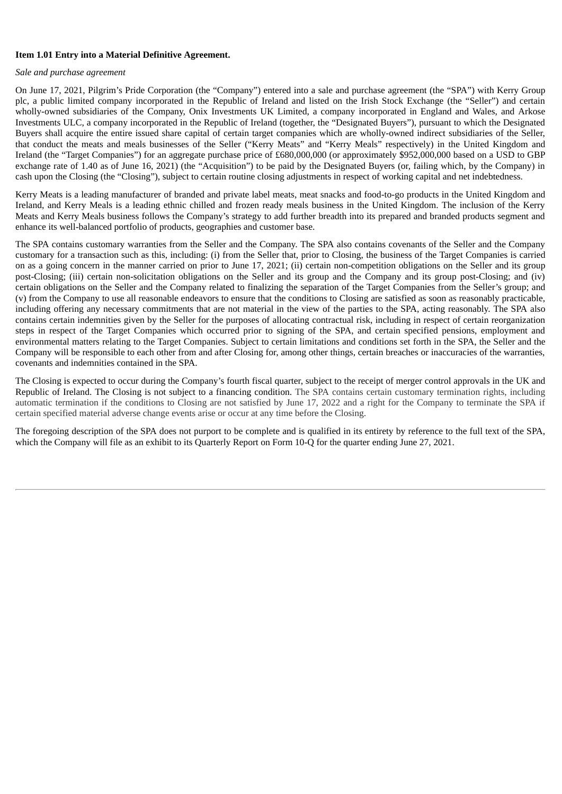### **Item 1.01 Entry into a Material Definitive Agreement.**

#### *Sale and purchase agreement*

On June 17, 2021, Pilgrim's Pride Corporation (the "Company") entered into a sale and purchase agreement (the "SPA") with Kerry Group plc, a public limited company incorporated in the Republic of Ireland and listed on the Irish Stock Exchange (the "Seller") and certain wholly-owned subsidiaries of the Company, Onix Investments UK Limited, a company incorporated in England and Wales, and Arkose Investments ULC, a company incorporated in the Republic of Ireland (together, the "Designated Buyers"), pursuant to which the Designated Buyers shall acquire the entire issued share capital of certain target companies which are wholly-owned indirect subsidiaries of the Seller, that conduct the meats and meals businesses of the Seller ("Kerry Meats" and "Kerry Meals" respectively) in the United Kingdom and Ireland (the "Target Companies") for an aggregate purchase price of £680,000,000 (or approximately \$952,000,000 based on a USD to GBP exchange rate of 1.40 as of June 16, 2021) (the "Acquisition") to be paid by the Designated Buyers (or, failing which, by the Company) in cash upon the Closing (the "Closing"), subject to certain routine closing adjustments in respect of working capital and net indebtedness.

Kerry Meats is a leading manufacturer of branded and private label meats, meat snacks and food-to-go products in the United Kingdom and Ireland, and Kerry Meals is a leading ethnic chilled and frozen ready meals business in the United Kingdom. The inclusion of the Kerry Meats and Kerry Meals business follows the Company's strategy to add further breadth into its prepared and branded products segment and enhance its well-balanced portfolio of products, geographies and customer base.

The SPA contains customary warranties from the Seller and the Company. The SPA also contains covenants of the Seller and the Company customary for a transaction such as this, including: (i) from the Seller that, prior to Closing, the business of the Target Companies is carried on as a going concern in the manner carried on prior to June 17, 2021; (ii) certain non-competition obligations on the Seller and its group post-Closing; (iii) certain non-solicitation obligations on the Seller and its group and the Company and its group post-Closing; and (iv) certain obligations on the Seller and the Company related to finalizing the separation of the Target Companies from the Seller's group; and (v) from the Company to use all reasonable endeavors to ensure that the conditions to Closing are satisfied as soon as reasonably practicable, including offering any necessary commitments that are not material in the view of the parties to the SPA, acting reasonably. The SPA also contains certain indemnities given by the Seller for the purposes of allocating contractual risk, including in respect of certain reorganization steps in respect of the Target Companies which occurred prior to signing of the SPA, and certain specified pensions, employment and environmental matters relating to the Target Companies. Subject to certain limitations and conditions set forth in the SPA, the Seller and the Company will be responsible to each other from and after Closing for, among other things, certain breaches or inaccuracies of the warranties, covenants and indemnities contained in the SPA.

The Closing is expected to occur during the Company's fourth fiscal quarter, subject to the receipt of merger control approvals in the UK and Republic of Ireland. The Closing is not subject to a financing condition. The SPA contains certain customary termination rights, including automatic termination if the conditions to Closing are not satisfied by June 17, 2022 and a right for the Company to terminate the SPA if certain specified material adverse change events arise or occur at any time before the Closing.

The foregoing description of the SPA does not purport to be complete and is qualified in its entirety by reference to the full text of the SPA, which the Company will file as an exhibit to its Quarterly Report on Form 10-Q for the quarter ending June 27, 2021.